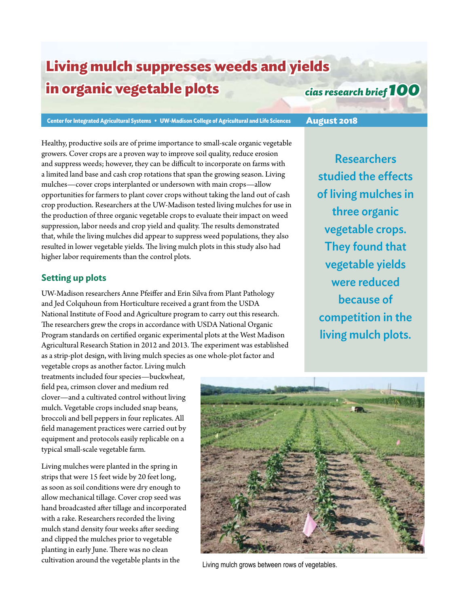# **Living mulch suppresses weeds and yields in organic vegetable plots**

## *cias research brief 100*

**Center for Integrated Agricultural Systems • UW-Madison College of Agricultural and Life Sciences August 2018**

Healthy, productive soils are of prime importance to small-scale organic vegetable growers. Cover crops are a proven way to improve soil quality, reduce erosion and suppress weeds; however, they can be difficult to incorporate on farms with a limited land base and cash crop rotations that span the growing season. Living mulches—cover crops interplanted or undersown with main crops—allow opportunities for farmers to plant cover crops without taking the land out of cash crop production. Researchers at the UW-Madison tested living mulches for use in the production of three organic vegetable crops to evaluate their impact on weed suppression, labor needs and crop yield and quality. The results demonstrated that, while the living mulches did appear to suppress weed populations, they also resulted in lower vegetable yields. The living mulch plots in this study also had higher labor requirements than the control plots.

### **Setting up plots**

UW-Madison researchers Anne Pfeiffer and Erin Silva from Plant Pathology and Jed Colquhoun from Horticulture received a grant from the USDA National Institute of Food and Agriculture program to carry out this research. The researchers grew the crops in accordance with USDA National Organic Program standards on certified organic experimental plots at the West Madison Agricultural Research Station in 2012 and 2013. The experiment was established as a strip-plot design, with living mulch species as one whole-plot factor and

**Researchers** studied the effects of living mulches in three organic vegetable crops. They found that vegetable yields were reduced because of competition in the living mulch plots.

vegetable crops as another factor. Living mulch treatments included four species—buckwheat, field pea, crimson clover and medium red clover—and a cultivated control without living mulch. Vegetable crops included snap beans, broccoli and bell peppers in four replicates. All field management practices were carried out by equipment and protocols easily replicable on a typical small-scale vegetable farm.

Living mulches were planted in the spring in strips that were 15 feet wide by 20 feet long, as soon as soil conditions were dry enough to allow mechanical tillage. Cover crop seed was hand broadcasted after tillage and incorporated with a rake. Researchers recorded the living mulch stand density four weeks after seeding and clipped the mulches prior to vegetable planting in early June. There was no clean cultivation around the vegetable plants in the Living mulch grows between rows of vegetables.

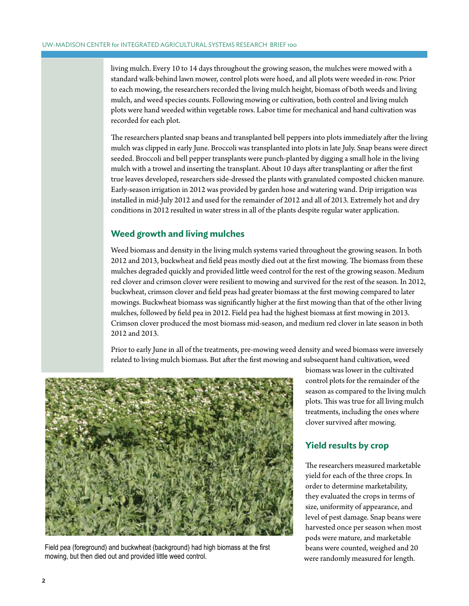living mulch. Every 10 to 14 days throughout the growing season, the mulches were mowed with a standard walk-behind lawn mower, control plots were hoed, and all plots were weeded in-row. Prior to each mowing, the researchers recorded the living mulch height, biomass of both weeds and living mulch, and weed species counts. Following mowing or cultivation, both control and living mulch plots were hand weeded within vegetable rows. Labor time for mechanical and hand cultivation was recorded for each plot.

The researchers planted snap beans and transplanted bell peppers into plots immediately after the living mulch was clipped in early June. Broccoli was transplanted into plots in late July. Snap beans were direct seeded. Broccoli and bell pepper transplants were punch-planted by digging a small hole in the living mulch with a trowel and inserting the transplant. About 10 days after transplanting or after the first true leaves developed, researchers side-dressed the plants with granulated composted chicken manure. Early-season irrigation in 2012 was provided by garden hose and watering wand. Drip irrigation was installed in mid-July 2012 and used for the remainder of 2012 and all of 2013. Extremely hot and dry conditions in 2012 resulted in water stress in all of the plants despite regular water application.

### **Weed growth and living mulches**

Weed biomass and density in the living mulch systems varied throughout the growing season. In both 2012 and 2013, buckwheat and field peas mostly died out at the first mowing. The biomass from these mulches degraded quickly and provided little weed control for the rest of the growing season. Medium red clover and crimson clover were resilient to mowing and survived for the rest of the season. In 2012, buckwheat, crimson clover and field peas had greater biomass at the first mowing compared to later mowings. Buckwheat biomass was significantly higher at the first mowing than that of the other living mulches, followed by field pea in 2012. Field pea had the highest biomass at first mowing in 2013. Crimson clover produced the most biomass mid-season, and medium red clover in late season in both 2012 and 2013.

Prior to early June in all of the treatments, pre-mowing weed density and weed biomass were inversely related to living mulch biomass. But after the first mowing and subsequent hand cultivation, weed



Field pea (foreground) and buckwheat (background) had high biomass at the first mowing, but then died out and provided little weed control.

biomass was lower in the cultivated control plots for the remainder of the season as compared to the living mulch plots. This was true for all living mulch treatments, including the ones where clover survived after mowing.

#### **Yield results by crop**

The researchers measured marketable yield for each of the three crops. In order to determine marketability, they evaluated the crops in terms of size, uniformity of appearance, and level of pest damage. Snap beans were harvested once per season when most pods were mature, and marketable beans were counted, weighed and 20 were randomly measured for length.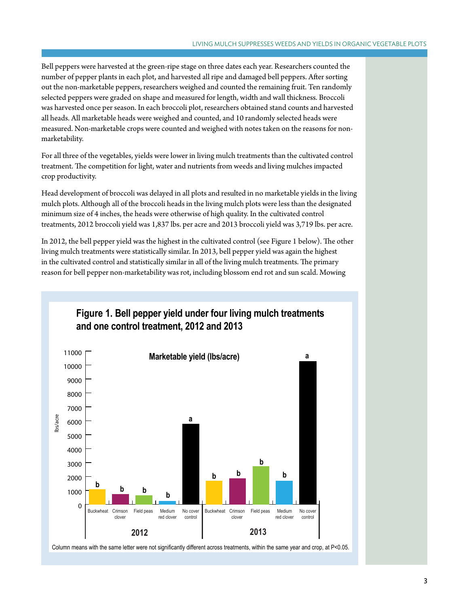Bell peppers were harvested at the green-ripe stage on three dates each year. Researchers counted the number of pepper plants in each plot, and harvested all ripe and damaged bell peppers. After sorting out the non-marketable peppers, researchers weighed and counted the remaining fruit. Ten randomly selected peppers were graded on shape and measured for length, width and wall thickness. Broccoli was harvested once per season. In each broccoli plot, researchers obtained stand counts and harvested all heads. All marketable heads were weighed and counted, and 10 randomly selected heads were measured. Non-marketable crops were counted and weighed with notes taken on the reasons for nonmarketability.

For all three of the vegetables, yields were lower in living mulch treatments than the cultivated control treatment. The competition for light, water and nutrients from weeds and living mulches impacted crop productivity.

Head development of broccoli was delayed in all plots and resulted in no marketable yields in the living mulch plots. Although all of the broccoli heads in the living mulch plots were less than the designated minimum size of 4 inches, the heads were otherwise of high quality. In the cultivated control treatments, 2012 broccoli yield was 1,837 lbs. per acre and 2013 broccoli yield was 3,719 lbs. per acre.

In 2012, the bell pepper yield was the highest in the cultivated control (see Figure 1 below). The other living mulch treatments were statistically similar. In 2013, bell pepper yield was again the highest in the cultivated control and statistically similar in all of the living mulch treatments. The primary reason for bell pepper non-marketability was rot, including blossom end rot and sun scald. Mowing



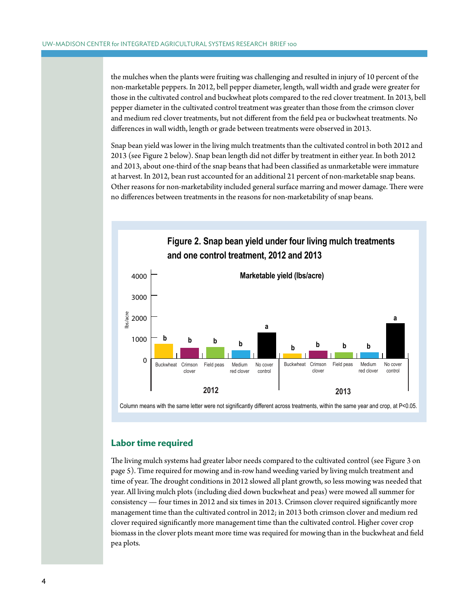the mulches when the plants were fruiting was challenging and resulted in injury of 10 percent of the non-marketable peppers. In 2012, bell pepper diameter, length, wall width and grade were greater for those in the cultivated control and buckwheat plots compared to the red clover treatment. In 2013, bell pepper diameter in the cultivated control treatment was greater than those from the crimson clover and medium red clover treatments, but not different from the field pea or buckwheat treatments. No differences in wall width, length or grade between treatments were observed in 2013.

Snap bean yield was lower in the living mulch treatments than the cultivated control in both 2012 and 10000 2013 (see Figure 2 below). Snap bean length did not differ by treatment in either year. In both 2012 and 2013, about one-third of the snap beans that had been classified as unmarketable were immature at harvest. In 2012, bean rust accounted for an additional 21 percent of non-marketable snap beans. Other reasons for non-marketability included general surface marring and mower damage. There were o their reasons for non-marketability metallical general ourneer maring and moved and

**Figure 2. Snap bean yield under four living mulch treatments**



#### **Labor time required**

The living mulch systems had greater labor needs compared to the cultivated control (see Figure 3 on page 5). Time required for mowing and in-row hand weeding varied by living mulch treatment and time of year. The drought conditions in 2012 slowed all plant growth, so less mowing was needed that year. All living mulch plots (including died down buckwheat and peas) were mowed all summer for consistency — four times in 2012 and six times in 2013. Crimson clover required significantly more management time than the cultivated control in 2012; in 2013 both crimson clover and medium red clover required significantly more management time than the cultivated control. Higher cover crop biomass in the clover plots meant more time was required for mowing than in the buckwheat and field pea plots.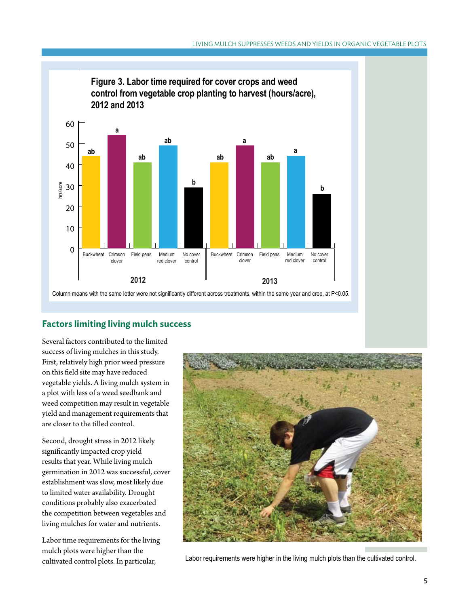

Column means with the same letter were not significantly different across treatments, within the same year and crop, at P<0.05.

### **Factors limiting living mulch success**

Several factors contributed to the limited success of living mulches in this study. First, relatively high prior weed pressure on this field site may have reduced vegetable yields. A living mulch system in a plot with less of a weed seedbank and weed competition may result in vegetable yield and management requirements that are closer to the tilled control.

Second, drought stress in 2012 likely significantly impacted crop yield results that year. While living mulch germination in 2012 was successful, cover establishment was slow, most likely due to limited water availability. Drought conditions probably also exacerbated the competition between vegetables and living mulches for water and nutrients.

Labor time requirements for the living mulch plots were higher than the



cultivated control plots. In particular, Labor requirements were higher in the living mulch plots than the cultivated control.